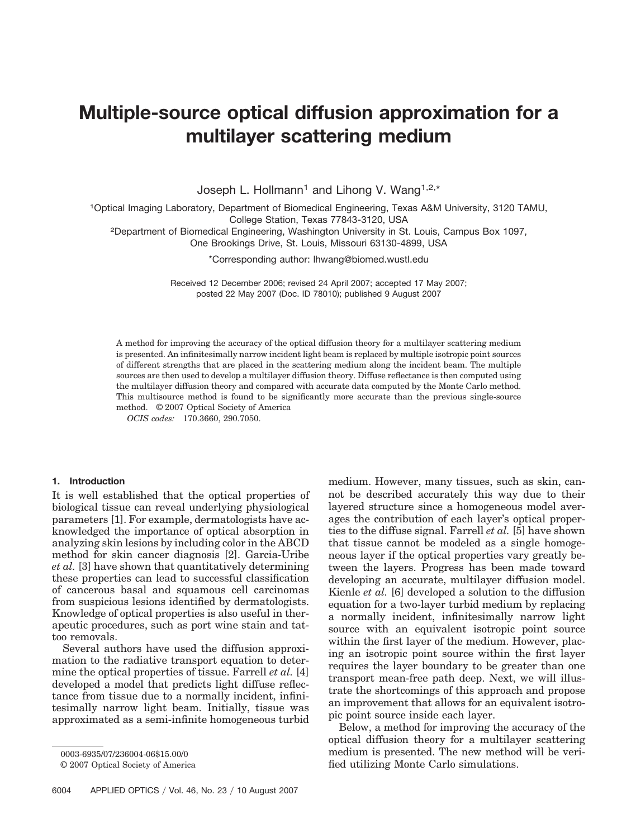# **Multiple-source optical diffusion approximation for a multilayer scattering medium**

Joseph L. Hollmann<sup>1</sup> and Lihong V. Wang<sup>1,2,\*</sup>

1Optical Imaging Laboratory, Department of Biomedical Engineering, Texas A&M University, 3120 TAMU, College Station, Texas 77843-3120, USA

2Department of Biomedical Engineering, Washington University in St. Louis, Campus Box 1097,

One Brookings Drive, St. Louis, Missouri 63130-4899, USA

\*Corresponding author: lhwang@biomed.wustl.edu

Received 12 December 2006; revised 24 April 2007; accepted 17 May 2007; posted 22 May 2007 (Doc. ID 78010); published 9 August 2007

A method for improving the accuracy of the optical diffusion theory for a multilayer scattering medium is presented. An infinitesimally narrow incident light beam is replaced by multiple isotropic point sources of different strengths that are placed in the scattering medium along the incident beam. The multiple sources are then used to develop a multilayer diffusion theory. Diffuse reflectance is then computed using the multilayer diffusion theory and compared with accurate data computed by the Monte Carlo method. This multisource method is found to be significantly more accurate than the previous single-source method. © 2007 Optical Society of America

*OCIS codes:* 170.3660, 290.7050.

# **1. Introduction**

It is well established that the optical properties of biological tissue can reveal underlying physiological parameters [1]. For example, dermatologists have acknowledged the importance of optical absorption in analyzing skin lesions by including color in the ABCD method for skin cancer diagnosis [2]. Garcia-Uribe *et al.* [3] have shown that quantitatively determining these properties can lead to successful classification of cancerous basal and squamous cell carcinomas from suspicious lesions identified by dermatologists. Knowledge of optical properties is also useful in therapeutic procedures, such as port wine stain and tattoo removals.

Several authors have used the diffusion approximation to the radiative transport equation to determine the optical properties of tissue. Farrell *et al.* [4] developed a model that predicts light diffuse reflectance from tissue due to a normally incident, infinitesimally narrow light beam. Initially, tissue was approximated as a semi-infinite homogeneous turbid medium. However, many tissues, such as skin, cannot be described accurately this way due to their layered structure since a homogeneous model averages the contribution of each layer's optical properties to the diffuse signal. Farrell *et al.* [5] have shown that tissue cannot be modeled as a single homogeneous layer if the optical properties vary greatly between the layers. Progress has been made toward developing an accurate, multilayer diffusion model. Kienle *et al.* [6] developed a solution to the diffusion equation for a two-layer turbid medium by replacing a normally incident, infinitesimally narrow light source with an equivalent isotropic point source within the first layer of the medium. However, placing an isotropic point source within the first layer requires the layer boundary to be greater than one transport mean-free path deep. Next, we will illustrate the shortcomings of this approach and propose an improvement that allows for an equivalent isotropic point source inside each layer.

Below, a method for improving the accuracy of the optical diffusion theory for a multilayer scattering medium is presented. The new method will be verified utilizing Monte Carlo simulations.

<sup>0003-6935/07/236004-06\$15.00/0</sup>

<sup>© 2007</sup> Optical Society of America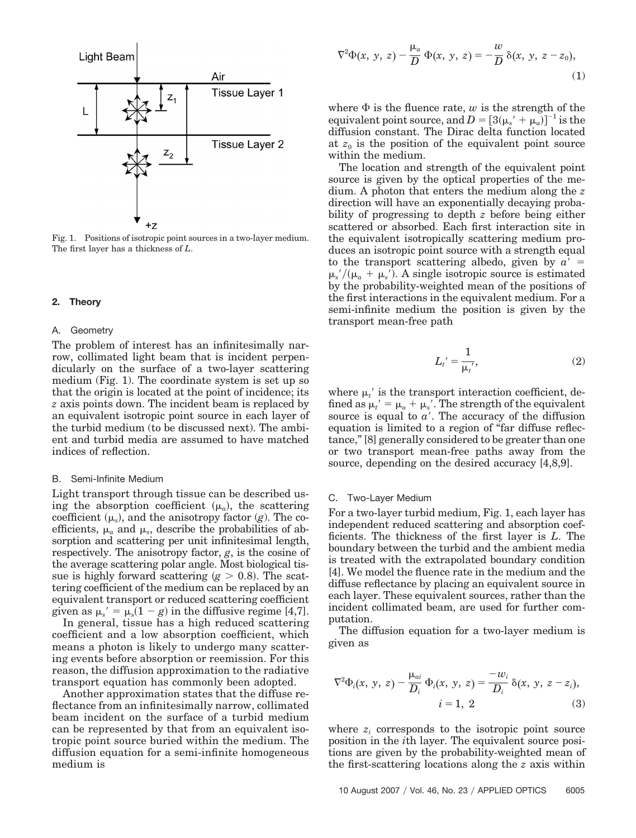

Fig. 1. Positions of isotropic point sources in a two-layer medium. The first layer has a thickness of *L*.

## **2. Theory**

#### A. Geometry

The problem of interest has an infinitesimally narrow, collimated light beam that is incident perpendicularly on the surface of a two-layer scattering medium (Fig. 1). The coordinate system is set up so that the origin is located at the point of incidence; its *z* axis points down. The incident beam is replaced by an equivalent isotropic point source in each layer of the turbid medium (to be discussed next). The ambient and turbid media are assumed to have matched indices of reflection.

#### B. Semi-Infinite Medium

Light transport through tissue can be described using the absorption coefficient  $(\mu_a)$ , the scattering coefficient  $(\mu_s)$ , and the anisotropy factor  $(g)$ . The coefficients,  $\mu_a$  and  $\mu_s$ , describe the probabilities of absorption and scattering per unit infinitesimal length, respectively. The anisotropy factor, *g*, is the cosine of the average scattering polar angle. Most biological tissue is highly forward scattering  $(g > 0.8)$ . The scattering coefficient of the medium can be replaced by an equivalent transport or reduced scattering coefficient given as  $\mu_s' = \mu_s(1 - g)$  in the diffusive regime [4,7].

In general, tissue has a high reduced scattering coefficient and a low absorption coefficient, which means a photon is likely to undergo many scattering events before absorption or reemission. For this reason, the diffusion approximation to the radiative transport equation has commonly been adopted.

Another approximation states that the diffuse reflectance from an infinitesimally narrow, collimated beam incident on the surface of a turbid medium can be represented by that from an equivalent isotropic point source buried within the medium. The diffusion equation for a semi-infinite homogeneous medium is

$$
\nabla^2 \Phi(x, y, z) - \frac{\mu_a}{D} \Phi(x, y, z) = -\frac{w}{D} \delta(x, y, z - z_0),
$$
\n(1)

where  $\Phi$  is the fluence rate, *w* is the strength of the  $\text{equivalent point source, and } D = [3(\mu_s' + \mu_a)]^{-1} \text{ is the } \theta$ diffusion constant. The Dirac delta function located at  $z_0$  is the position of the equivalent point source within the medium.

The location and strength of the equivalent point source is given by the optical properties of the medium. A photon that enters the medium along the *z* direction will have an exponentially decaying probability of progressing to depth *z* before being either scattered or absorbed. Each first interaction site in the equivalent isotropically scattering medium produces an isotropic point source with a strength equal to the transport scattering albedo, given by  $a' =$  $\mu$ <sub>s</sub>'/( $\mu$ <sub>a</sub> +  $\mu$ <sub>s</sub>'). A single isotropic source is estimated by the probability-weighted mean of the positions of the first interactions in the equivalent medium. For a semi-infinite medium the position is given by the transport mean-free path

$$
L_t' = \frac{1}{\mu_t'},\tag{2}
$$

where  $\mu_t$  is the transport interaction coefficient, defined as  $\mu_t' = \mu_a + \mu_s'$ . The strength of the equivalent source is equal to  $a'$ . The accuracy of the diffusion equation is limited to a region of "far diffuse reflectance," [8] generally considered to be greater than one or two transport mean-free paths away from the source, depending on the desired accuracy [4,8,9].

#### C. Two-Layer Medium

For a two-layer turbid medium, Fig. 1, each layer has independent reduced scattering and absorption coefficients. The thickness of the first layer is *L*. The boundary between the turbid and the ambient media is treated with the extrapolated boundary condition [4]. We model the fluence rate in the medium and the diffuse reflectance by placing an equivalent source in each layer. These equivalent sources, rather than the incident collimated beam, are used for further computation.

The diffusion equation for a two-layer medium is given as

$$
\nabla^2 \Phi_i(x, y, z) - \frac{\mu_{ai}}{D_i} \Phi_i(x, y, z) = \frac{-w_i}{D_i} \delta(x, y, z - z_i),
$$
  
  $i = 1, 2$  (3)

where  $z_i$  corresponds to the isotropic point source position in the *i*th layer. The equivalent source positions are given by the probability-weighted mean of the first-scattering locations along the *z* axis within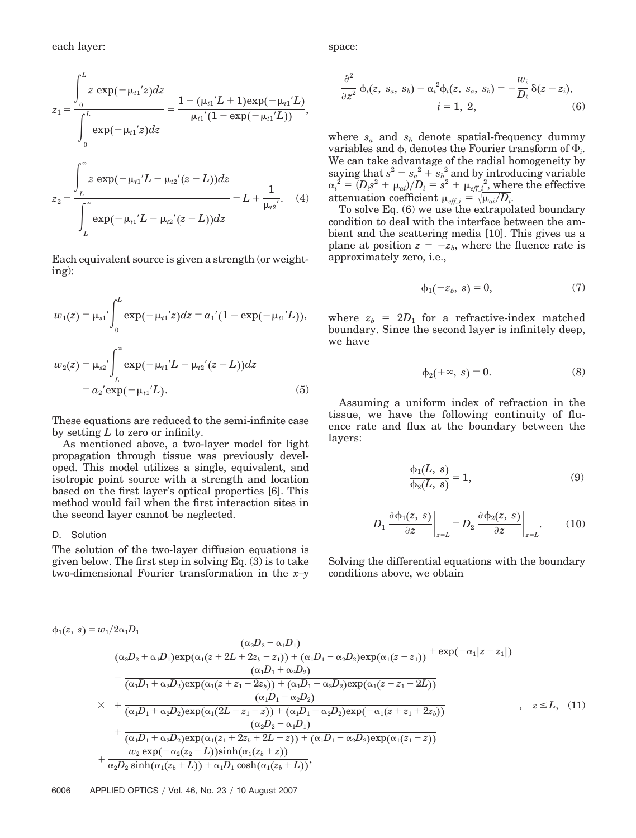each layer:

$$
z_{1} = \frac{\int_{0}^{L} z \exp(-\mu_{t1}^{'}z)dz}{\int_{0}^{L} \exp(-\mu_{t1}^{'}z)dz} = \frac{1 - (\mu_{t1}^{'}L + 1)\exp(-\mu_{t1}^{'}L)}{\mu_{t1}^{'}(1 - \exp(-\mu_{t1}^{'}L))},
$$

$$
z_{2} = \frac{\int_{L}^{\infty} z \exp(-\mu_{t1}^{'}L - \mu_{t2}^{'}(z - L))dz}{\int_{L}^{\infty} \exp(-\mu_{t1}^{'}L - \mu_{t2}^{'}(z - L))dz} = L + \frac{1}{\mu_{t2}^{'}}. \quad (4)
$$

Each equivalent source is given a strength (or weighting):

$$
w_1(z) = \mu_{s1}' \int_0^L \exp(-\mu_{t1}'z) dz = a_1'(1 - \exp(-\mu_{t1}'L)),
$$
  

$$
w_2(z) = \mu_{s2}' \int_L^{\infty} \exp(-\mu_{t1}'L - \mu_{t2}'(z-L)) dz
$$
  

$$
= a_2' \exp(-\mu_{t1}'L).
$$
 (5)

These equations are reduced to the semi-infinite case by setting *L* to zero or infinity.

As mentioned above, a two-layer model for light propagation through tissue was previously developed. This model utilizes a single, equivalent, and isotropic point source with a strength and location based on the first layer's optical properties [6]. This method would fail when the first interaction sites in the second layer cannot be neglected.

#### D. Solution

The solution of the two-layer diffusion equations is given below. The first step in solving Eq. (3) is to take two-dimensional Fourier transformation in the *x–y* space:

$$
\frac{\partial^2}{\partial z^2} \phi_i(z, s_a, s_b) - \alpha_i^2 \phi_i(z, s_a, s_b) = -\frac{w_i}{D_i} \delta(z - z_i), \n i = 1, 2,
$$
\n(6)

where  $s_a$  and  $s_b$  denote spatial-frequency dummy variables and  $\phi_i$  denotes the Fourier transform of  $\Phi_i$ . We can take advantage of the radial homogeneity by saying that  $s^2 = s_a^2 + s_b^2$  and by introducing variable  $\alpha_i^{\;2} = (D_i s^2 + \mu_{ai})/D_i = s^2 + {\mu_{eff\_i}}^2, \text{where the effective}$ attenuation coefficient  $\mu_{eff\_i} = \sqrt{\mu_{ai}/D_i}$ .

To solve Eq.  $(6)$  we use the extrapolated boundary condition to deal with the interface between the ambient and the scattering media [10]. This gives us a plane at position  $z = -z_b$ , where the fluence rate is approximately zero, i.e.,

$$
\phi_1(-z_b, s) = 0,\tag{7}
$$

where  $z_b = 2D_1$  for a refractive-index matched boundary. Since the second layer is infinitely deep, we have

$$
\phi_2(+\infty, s) = 0. \tag{8}
$$

Assuming a uniform index of refraction in the tissue, we have the following continuity of fluence rate and flux at the boundary between the layers:

$$
\frac{\phi_1(L, s)}{\phi_2(L, s)} = 1,\tag{9}
$$

$$
D_1 \left. \frac{\partial \phi_1(z, s)}{\partial z} \right|_{z=L} = D_2 \left. \frac{\partial \phi_2(z, s)}{\partial z} \right|_{z=L}.
$$
 (10)

Solving the differential equations with the boundary conditions above, we obtain

$$
\phi_1(z, s) = w_1/2\alpha_1D_1
$$
\n
$$
\begin{bmatrix}\n\frac{(\alpha_2D_2 - \alpha_1D_1)}{(\alpha_2D_2 + \alpha_1D_1)\exp(\alpha_1(z + 2L + 2z_b - z_1)) + (\alpha_1D_1 - \alpha_2D_2)\exp(\alpha_1(z - z_1))} + \exp(-\alpha_1|z - z_1|) \\
-\frac{(\alpha_1D_1 + \alpha_2D_2)\exp(\alpha_1(z + z_1 + 2z_b)) + (\alpha_1D_1 - \alpha_2D_2)\exp(\alpha_1(z + z_1 - 2L))}{(\alpha_1D_1 - \alpha_2D_2)} \\
+\frac{(\alpha_1D_1 + \alpha_2D_2)\exp(\alpha_1(2L - z_1 - z)) + (\alpha_1D_1 - \alpha_2D_2)\exp(-\alpha_1(z + z_1 + 2z_b))}{(\alpha_2D_2 - \alpha_1D_1)} \\
+\frac{(\alpha_2D_2 - \alpha_1D_1)}{(\alpha_1D_1 + \alpha_2D_2)\exp(\alpha_1(z_1 + 2z_b + 2L - z)) + (\alpha_1D_1 - \alpha_2D_2)\exp(\alpha_1(z_1 - z))} \\
+\frac{w_2\exp(-\alpha_2(z_2 - L))\sinh(\alpha_1(z_b + z))}{\alpha_2D_2\sinh(\alpha_1(z_b + L)) + \alpha_1D_1\cosh(\alpha_1(z_b + L))},
$$
\n(22)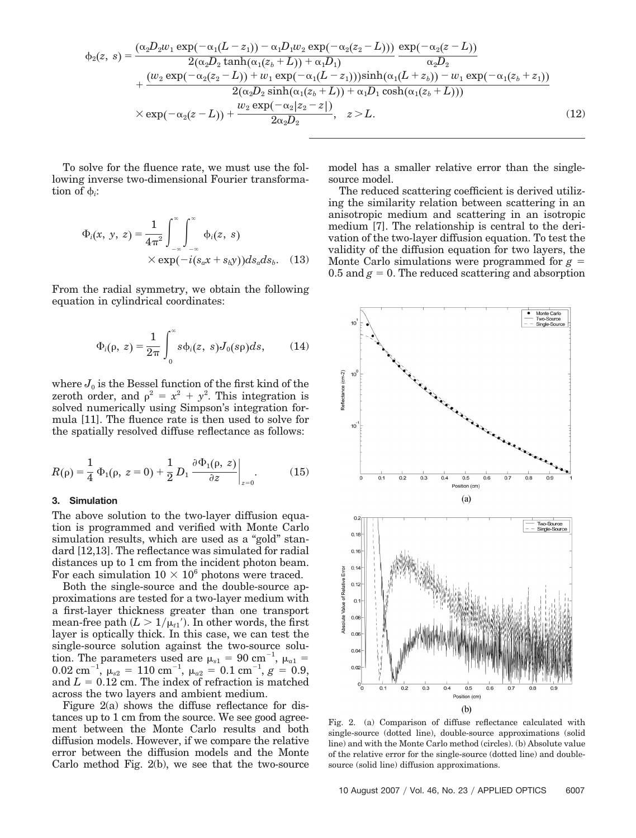$$
\phi_2(z, s) = \frac{(\alpha_2 D_2 w_1 \exp(-\alpha_1 (L - z_1)) - \alpha_1 D_1 w_2 \exp(-\alpha_2 (z_2 - L)))}{2(\alpha_2 D_2 \tanh(\alpha_1 (z_b + L)) + \alpha_1 D_1)} \frac{\exp(-\alpha_2 (z - L))}{\alpha_2 D_2} + \frac{(w_2 \exp(-\alpha_2 (z_2 - L)) + w_1 \exp(-\alpha_1 (L - z_1))) \sinh(\alpha_1 (L + z_b)) - w_1 \exp(-\alpha_1 (z_b + z_1))}{2(\alpha_2 D_2 \sinh(\alpha_1 (z_b + L)) + \alpha_1 D_1 \cosh(\alpha_1 (z_b + L)))} \times \exp(-\alpha_2 (z - L)) + \frac{w_2 \exp(-\alpha_2 |z_2 - z|)}{2\alpha_2 D_2}, \quad z > L.
$$
\n(12)

To solve for the fluence rate, we must use the following inverse two-dimensional Fourier transformation of  $\phi_i$ :

$$
\Phi_i(x, y, z) = \frac{1}{4\pi^2} \int_{-\infty}^{\infty} \int_{-\infty}^{\infty} \Phi_i(z, s)
$$

$$
\times \exp(-i(s_a x + s_b y)) ds_a ds_b. \quad (13)
$$

From the radial symmetry, we obtain the following equation in cylindrical coordinates:

$$
\Phi_i(\rho, z) = \frac{1}{2\pi} \int_0^\infty s \phi_i(z, s) J_0(s\rho) ds, \quad (14)
$$

where  $J_0$  is the Bessel function of the first kind of the zeroth order, and  $\rho^2 = x^2 + y^2$ . This integration is solved numerically using Simpson's integration formula [11]. The fluence rate is then used to solve for the spatially resolved diffuse reflectance as follows:

$$
R(\rho) = \frac{1}{4} \Phi_1(\rho, z = 0) + \frac{1}{2} D_1 \frac{\partial \Phi_1(\rho, z)}{\partial z} \bigg|_{z=0}.
$$
 (15)

### **3. Simulation**

The above solution to the two-layer diffusion equation is programmed and verified with Monte Carlo simulation results, which are used as a "gold" standard [12,13]. The reflectance was simulated for radial distances up to 1 cm from the incident photon beam. For each simulation  $10 \times 10^6$  photons were traced.

Both the single-source and the double-source approximations are tested for a two-layer medium with a first-layer thickness greater than one transport mean-free path  $(L > 1/\mu_{t1})$ . In other words, the first layer is optically thick. In this case, we can test the single-source solution against the two-source solution. The parameters used are  $\mu_{s1} = 90 \text{ cm}^{-1}$ ,  $\mu_{a1} =$  $0.02 \text{ cm}^{-1}, \ \mu_{s2} = 110 \text{ cm}^{-1}, \ \mu_{a2} = 0.1 \text{ cm}^{-1}, \ g = 0.9,$ and  $L = 0.12$  cm. The index of refraction is matched across the two layers and ambient medium.

Figure 2(a) shows the diffuse reflectance for distances up to 1 cm from the source. We see good agreement between the Monte Carlo results and both diffusion models. However, if we compare the relative error between the diffusion models and the Monte Carlo method Fig. 2(b), we see that the two-source

model has a smaller relative error than the singlesource model.

The reduced scattering coefficient is derived utilizing the similarity relation between scattering in an anisotropic medium and scattering in an isotropic medium [7]. The relationship is central to the derivation of the two-layer diffusion equation. To test the validity of the diffusion equation for two layers, the Monte Carlo simulations were programmed for *g*  $0.5$  and  $g = 0$ . The reduced scattering and absorption



Fig. 2. (a) Comparison of diffuse reflectance calculated with single-source (dotted line), double-source approximations (solid line) and with the Monte Carlo method (circles). (b) Absolute value of the relative error for the single-source (dotted line) and doublesource (solid line) diffusion approximations.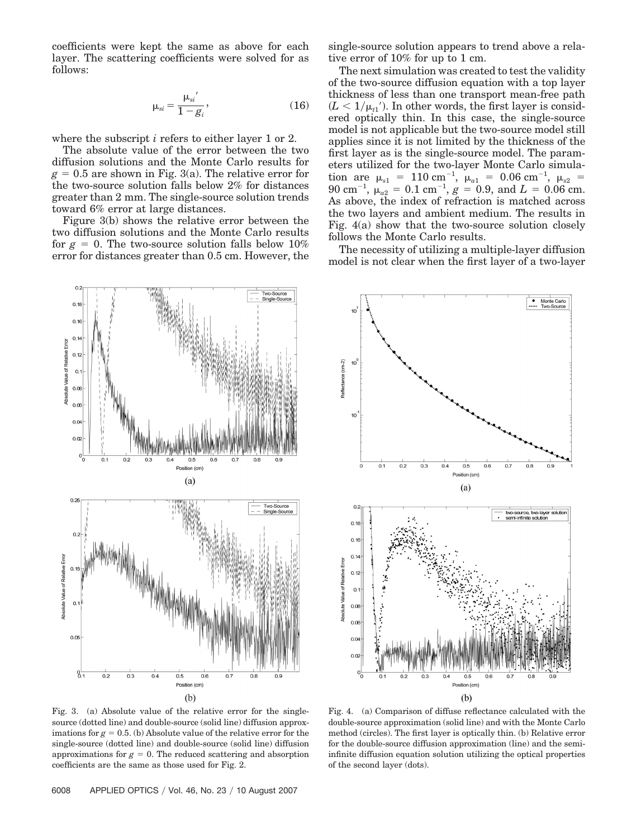coefficients were kept the same as above for each layer. The scattering coefficients were solved for as follows:

$$
\mu_{si} = \frac{\mu_{si}'}{1 - g_i'},\tag{16}
$$

where the subscript *i* refers to either layer 1 or 2.

The absolute value of the error between the two diffusion solutions and the Monte Carlo results for  $g = 0.5$  are shown in Fig. 3(a). The relative error for the two-source solution falls below 2% for distances greater than 2 mm. The single-source solution trends toward 6% error at large distances.

Figure 3(b) shows the relative error between the two diffusion solutions and the Monte Carlo results for  $g = 0$ . The two-source solution falls below 10% error for distances greater than 0.5 cm. However, the single-source solution appears to trend above a relative error of 10% for up to 1 cm.

The next simulation was created to test the validity of the two-source diffusion equation with a top layer thickness of less than one transport mean-free path  $(L < 1/\mu_{t1})$ . In other words, the first layer is considered optically thin. In this case, the single-source model is not applicable but the two-source model still applies since it is not limited by the thickness of the first layer as is the single-source model. The parameters utilized for the two-layer Monte Carlo simula- $\text{tion are } \mu_{s1} = 110 \text{ cm}^{-1}, \mu_{a1} = 0.06 \text{ cm}^{-1}, \mu_{s2} = 110 \text{ cm}^{-1}$  $90 \text{ cm}^{-1}, \ \mu_{a2} = 0.1 \text{ cm}^{-1}, \ g = 0.9, \text{ and } L = 0.06 \text{ cm}.$ As above, the index of refraction is matched across the two layers and ambient medium. The results in Fig. 4(a) show that the two-source solution closely follows the Monte Carlo results.

The necessity of utilizing a multiple-layer diffusion model is not clear when the first layer of a two-layer



 $10$ Reflectance (cm-2)  $10$  $10$  $0.5$  $0.8$  $0.9$  $(a)$  $0.2$ two-source, two-lay<br>semi-infinite solutio  $0.18$  $0.16$  $0.14$ Absolute Value of Relative  $0.12$  $O$ .  $0.06$  $0.0$  $0.0<sub>k</sub>$  $0.02$  $0.5$ Position (cm)  $(b)$ 

Fig. 3. (a) Absolute value of the relative error for the singlesource (dotted line) and double-source (solid line) diffusion approximations for  $g = 0.5$ . (b) Absolute value of the relative error for the single-source (dotted line) and double-source (solid line) diffusion approximations for  $g = 0$ . The reduced scattering and absorption coefficients are the same as those used for Fig. 2.

Fig. 4. (a) Comparison of diffuse reflectance calculated with the double-source approximation (solid line) and with the Monte Carlo method (circles). The first layer is optically thin. (b) Relative error for the double-source diffusion approximation (line) and the semiinfinite diffusion equation solution utilizing the optical properties of the second layer (dots).